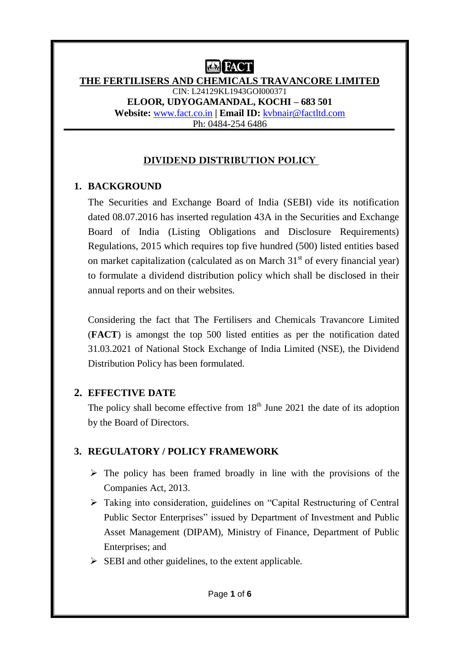#### **THE FERTILISERS AND CHEMICALS TRAVANCORE LIMITED** CIN: L24129KL1943GOI000371 **ELOOR, UDYOGAMANDAL, KOCHI – 683 501 Website:** [www.fact.co.in](http://www.fact.co.in/) **| Email ID:** [kvbnair@factltd.com](mailto:kvbnair@factltd.com) Ph: 0484-254 6486

## **DIVIDEND DISTRIBUTION POLICY**

## **1. BACKGROUND**

The Securities and Exchange Board of India (SEBI) vide its notification dated 08.07.2016 has inserted regulation 43A in the Securities and Exchange Board of India (Listing Obligations and Disclosure Requirements) Regulations, 2015 which requires top five hundred (500) listed entities based on market capitalization (calculated as on March  $31<sup>st</sup>$  of every financial year) to formulate a dividend distribution policy which shall be disclosed in their annual reports and on their websites.

Considering the fact that The Fertilisers and Chemicals Travancore Limited (**FACT**) is amongst the top 500 listed entities as per the notification dated 31.03.2021 of National Stock Exchange of India Limited (NSE), the Dividend Distribution Policy has been formulated.

# **2. EFFECTIVE DATE**

The policy shall become effective from  $18<sup>th</sup>$  June 2021 the date of its adoption by the Board of Directors.

# **3. REGULATORY / POLICY FRAMEWORK**

- $\triangleright$  The policy has been framed broadly in line with the provisions of the Companies Act, 2013.
- Taking into consideration, guidelines on "Capital Restructuring of Central Public Sector Enterprises" issued by Department of Investment and Public Asset Management (DIPAM), Ministry of Finance, Department of Public Enterprises; and
- $\triangleright$  SEBI and other guidelines, to the extent applicable.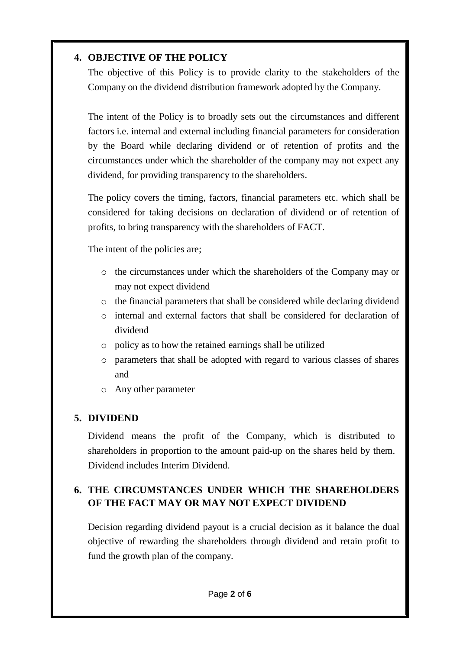## **4. OBJECTIVE OF THE POLICY**

The objective of this Policy is to provide clarity to the stakeholders of the Company on the dividend distribution framework adopted by the Company.

The intent of the Policy is to broadly sets out the circumstances and different factors i.e. internal and external including financial parameters for consideration by the Board while declaring dividend or of retention of profits and the circumstances under which the shareholder of the company may not expect any dividend, for providing transparency to the shareholders.

The policy covers the timing, factors, financial parameters etc. which shall be considered for taking decisions on declaration of dividend or of retention of profits, to bring transparency with the shareholders of FACT.

The intent of the policies are;

- o the circumstances under which the shareholders of the Company may or may not expect dividend
- o the financial parameters that shall be considered while declaring dividend
- o internal and external factors that shall be considered for declaration of dividend
- o policy as to how the retained earnings shall be utilized
- o parameters that shall be adopted with regard to various classes of shares and
- o Any other parameter

# **5. DIVIDEND**

Dividend means the profit of the Company, which is distributed to shareholders in proportion to the amount paid-up on the shares held by them. Dividend includes Interim Dividend.

# **6. THE CIRCUMSTANCES UNDER WHICH THE SHAREHOLDERS OF THE FACT MAY OR MAY NOT EXPECT DIVIDEND**

Decision regarding dividend payout is a crucial decision as it balance the dual objective of rewarding the shareholders through dividend and retain profit to fund the growth plan of the company.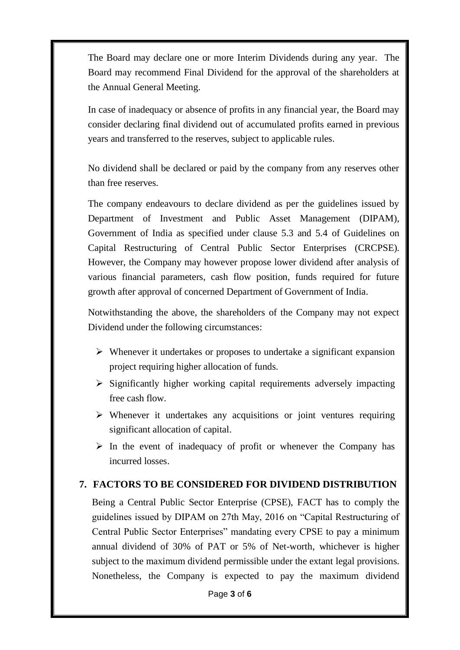The Board may declare one or more Interim Dividends during any year. The Board may recommend Final Dividend for the approval of the shareholders at the Annual General Meeting.

In case of inadequacy or absence of profits in any financial year, the Board may consider declaring final dividend out of accumulated profits earned in previous years and transferred to the reserves, subject to applicable rules.

No dividend shall be declared or paid by the company from any reserves other than free reserves.

The company endeavours to declare dividend as per the guidelines issued by Department of Investment and Public Asset Management (DIPAM), Government of India as specified under clause 5.3 and 5.4 of Guidelines on Capital Restructuring of Central Public Sector Enterprises (CRCPSE). However, the Company may however propose lower dividend after analysis of various financial parameters, cash flow position, funds required for future growth after approval of concerned Department of Government of India.

Notwithstanding the above, the shareholders of the Company may not expect Dividend under the following circumstances:

- $\triangleright$  Whenever it undertakes or proposes to undertake a significant expansion project requiring higher allocation of funds.
- $\triangleright$  Significantly higher working capital requirements adversely impacting free cash flow.
- $\triangleright$  Whenever it undertakes any acquisitions or joint ventures requiring significant allocation of capital.
- $\triangleright$  In the event of inadequacy of profit or whenever the Company has incurred losses.

### **7. FACTORS TO BE CONSIDERED FOR DIVIDEND DISTRIBUTION**

Being a Central Public Sector Enterprise (CPSE), FACT has to comply the guidelines issued by DIPAM on 27th May, 2016 on "Capital Restructuring of Central Public Sector Enterprises" mandating every CPSE to pay a minimum annual dividend of 30% of PAT or 5% of Net-worth, whichever is higher subject to the maximum dividend permissible under the extant legal provisions. Nonetheless, the Company is expected to pay the maximum dividend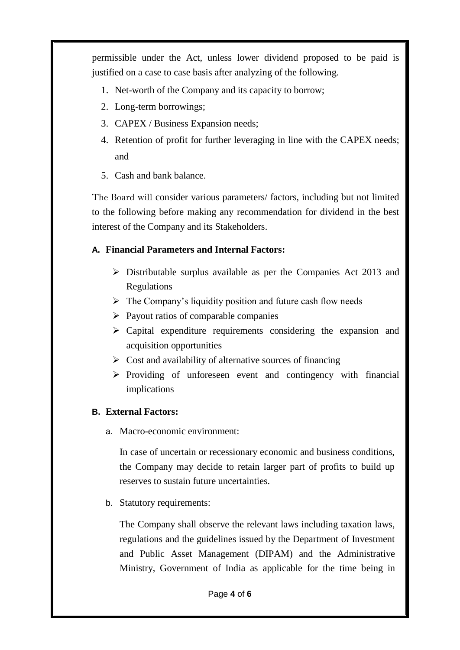permissible under the Act, unless lower dividend proposed to be paid is justified on a case to case basis after analyzing of the following.

- 1. Net-worth of the Company and its capacity to borrow;
- 2. Long-term borrowings;
- 3. CAPEX / Business Expansion needs;
- 4. Retention of profit for further leveraging in line with the CAPEX needs; and
- 5. Cash and bank balance.

The Board will consider various parameters/ factors, including but not limited to the following before making any recommendation for dividend in the best interest of the Company and its Stakeholders.

# **A. Financial Parameters and Internal Factors:**

- $\triangleright$  Distributable surplus available as per the Companies Act 2013 and Regulations
- $\triangleright$  The Company's liquidity position and future cash flow needs
- $\triangleright$  Payout ratios of comparable companies
- $\triangleright$  Capital expenditure requirements considering the expansion and acquisition opportunities
- $\triangleright$  Cost and availability of alternative sources of financing
- $\triangleright$  Providing of unforeseen event and contingency with financial implications

# **B. External Factors:**

a. Macro-economic environment:

In case of uncertain or recessionary economic and business conditions, the Company may decide to retain larger part of profits to build up reserves to sustain future uncertainties.

b. Statutory requirements:

The Company shall observe the relevant laws including taxation laws, regulations and the guidelines issued by the Department of Investment and Public Asset Management (DIPAM) and the Administrative Ministry, Government of India as applicable for the time being in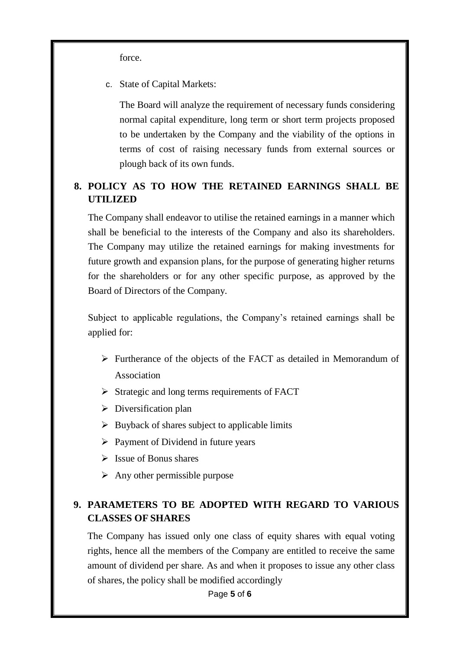force.

c. State of Capital Markets:

The Board will analyze the requirement of necessary funds considering normal capital expenditure, long term or short term projects proposed to be undertaken by the Company and the viability of the options in terms of cost of raising necessary funds from external sources or plough back of its own funds.

# **8. POLICY AS TO HOW THE RETAINED EARNINGS SHALL BE UTILIZED**

The Company shall endeavor to utilise the retained earnings in a manner which shall be beneficial to the interests of the Company and also its shareholders. The Company may utilize the retained earnings for making investments for future growth and expansion plans, for the purpose of generating higher returns for the shareholders or for any other specific purpose, as approved by the Board of Directors of the Company.

Subject to applicable regulations, the Company's retained earnings shall be applied for:

- Furtherance of the objects of the FACT as detailed in Memorandum of Association
- $\triangleright$  Strategic and long terms requirements of FACT
- $\triangleright$  Diversification plan
- $\triangleright$  Buyback of shares subject to applicable limits
- $\triangleright$  Payment of Dividend in future years
- $\triangleright$  Issue of Bonus shares
- $\triangleright$  Any other permissible purpose

## **9. PARAMETERS TO BE ADOPTED WITH REGARD TO VARIOUS CLASSES OF SHARES**

The Company has issued only one class of equity shares with equal voting rights, hence all the members of the Company are entitled to receive the same amount of dividend per share. As and when it proposes to issue any other class of shares, the policy shall be modified accordingly

Page **5** of **6**